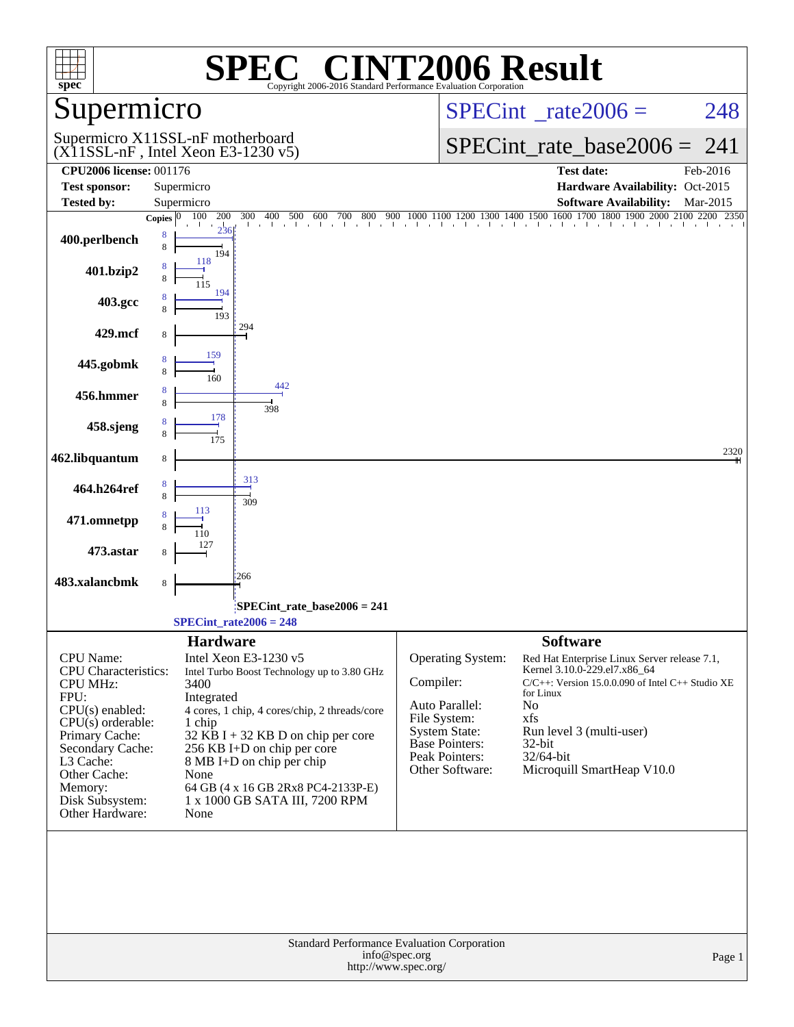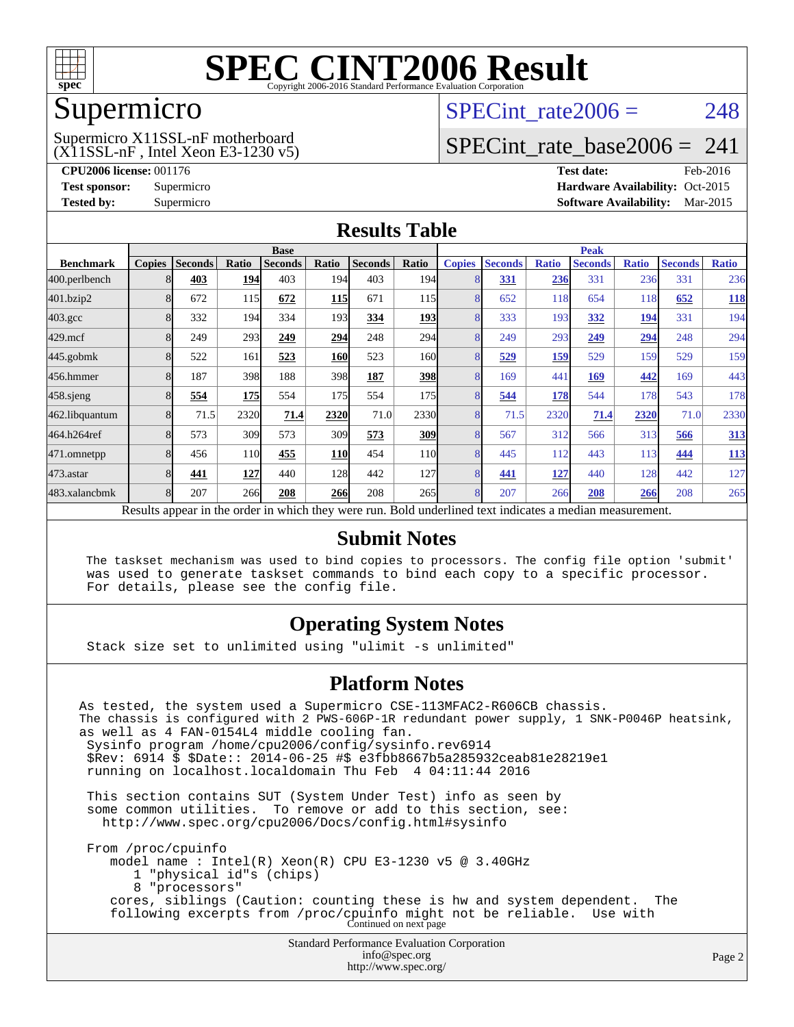

### Supermicro

#### (X11SSL-nF , Intel Xeon E3-1230 v5) Supermicro X11SSL-nF motherboard

SPECint rate $2006 = 248$ 

## [SPECint\\_rate\\_base2006 =](http://www.spec.org/auto/cpu2006/Docs/result-fields.html#SPECintratebase2006)  $241$

**[CPU2006 license:](http://www.spec.org/auto/cpu2006/Docs/result-fields.html#CPU2006license)** 001176 **[Test date:](http://www.spec.org/auto/cpu2006/Docs/result-fields.html#Testdate)** Feb-2016 **[Test sponsor:](http://www.spec.org/auto/cpu2006/Docs/result-fields.html#Testsponsor)** Supermicro Supermicro **[Hardware Availability:](http://www.spec.org/auto/cpu2006/Docs/result-fields.html#HardwareAvailability)** Oct-2015 **[Tested by:](http://www.spec.org/auto/cpu2006/Docs/result-fields.html#Testedby)** Supermicro **Supermicro [Software Availability:](http://www.spec.org/auto/cpu2006/Docs/result-fields.html#SoftwareAvailability)** Mar-2015

#### **[Results Table](http://www.spec.org/auto/cpu2006/Docs/result-fields.html#ResultsTable)**

|                                                                                                          | <b>Base</b>   |                |            |                |            |                |                  |               | <b>Peak</b>    |              |                |              |                |              |  |
|----------------------------------------------------------------------------------------------------------|---------------|----------------|------------|----------------|------------|----------------|------------------|---------------|----------------|--------------|----------------|--------------|----------------|--------------|--|
| <b>Benchmark</b>                                                                                         | <b>Copies</b> | <b>Seconds</b> | Ratio      | <b>Seconds</b> | Ratio      | <b>Seconds</b> | Ratio            | <b>Copies</b> | <b>Seconds</b> | <b>Ratio</b> | <b>Seconds</b> | <b>Ratio</b> | <b>Seconds</b> | <b>Ratio</b> |  |
| 400.perlbench                                                                                            |               | 403            | 194        | 403            | 194        | 403            | 194 <sub>l</sub> | 8             | 331            | 236          | 331            | 236          | 331            | 236          |  |
| 401.bzip2                                                                                                |               | 672            | 115        | 672            | <u>115</u> | 671            | 115              | 8             | 652            | 118          | 654            | 118          | 652            | <b>118</b>   |  |
| $403.\mathrm{gcc}$                                                                                       |               | 332            | 194        | 334            | 193        | 334            | <b>193</b>       | 8             | 333            | 193          | 332            | 194          | 331            | 194          |  |
| $429$ .mcf                                                                                               |               | 249            | 293        | 249            | 294        | 248            | 294              | 8             | 249            | 293          | 249            | 294          | 248            | 294          |  |
| 445.gobmk                                                                                                |               | 522            | 161        | 523            | 160        | 523            | 160l             | 8             | 529            | <u>159</u>   | 529            | 159          | 529            | 159          |  |
| 456.hmmer                                                                                                |               | 187            | 398        | 188            | 398        | 187            | <b>398</b>       | 8             | 169            | 441          | 169            | 442          | 169            | 443          |  |
| $458$ .sjeng                                                                                             |               | 554            | <b>175</b> | 554            | 175        | 554            | 175              | 8             | 544            | 178          | 544            | 178          | 543            | 178          |  |
| 462.libquantum                                                                                           |               | 71.5           | 2320       | 71.4           | 2320       | 71.0           | 2330             | 8             | 71.5           | 2320         | 71.4           | 2320         | 71.0           | 2330         |  |
| 464.h264ref                                                                                              |               | 573            | 309        | 573            | 309        | 573            | 309              | 8             | 567            | 312          | 566            | 313          | 566            | 313          |  |
| 471.omnetpp                                                                                              |               | 456            | 110        | 455            | <b>110</b> | 454            | 11 <sub>0</sub>  | 8             | 445            | 112          | 443            | 113          | 444            | <u>113</u>   |  |
| 473.astar                                                                                                |               | 441            | 127        | 440            | 128        | 442            | 127              | 8             | 441            | 127          | 440            | 128          | 442            | 127          |  |
| 483.xalancbmk                                                                                            | 8             | 207            | 266        | 208            | <b>266</b> | 208            | 265              | 8             | 207            | 266          | 208            | 266          | 208            | 265          |  |
| Results appear in the order in which they were run. Bold underlined text indicates a median measurement. |               |                |            |                |            |                |                  |               |                |              |                |              |                |              |  |

#### **[Submit Notes](http://www.spec.org/auto/cpu2006/Docs/result-fields.html#SubmitNotes)**

 The taskset mechanism was used to bind copies to processors. The config file option 'submit' was used to generate taskset commands to bind each copy to a specific processor. For details, please see the config file.

#### **[Operating System Notes](http://www.spec.org/auto/cpu2006/Docs/result-fields.html#OperatingSystemNotes)**

Stack size set to unlimited using "ulimit -s unlimited"

#### **[Platform Notes](http://www.spec.org/auto/cpu2006/Docs/result-fields.html#PlatformNotes)**

Standard Performance Evaluation Corporation [info@spec.org](mailto:info@spec.org) As tested, the system used a Supermicro CSE-113MFAC2-R606CB chassis. The chassis is configured with 2 PWS-606P-1R redundant power supply, 1 SNK-P0046P heatsink, as well as 4 FAN-0154L4 middle cooling fan. Sysinfo program /home/cpu2006/config/sysinfo.rev6914 \$Rev: 6914 \$ \$Date:: 2014-06-25 #\$ e3fbb8667b5a285932ceab81e28219e1 running on localhost.localdomain Thu Feb 4 04:11:44 2016 This section contains SUT (System Under Test) info as seen by some common utilities. To remove or add to this section, see: <http://www.spec.org/cpu2006/Docs/config.html#sysinfo> From /proc/cpuinfo model name : Intel(R) Xeon(R) CPU E3-1230 v5 @ 3.40GHz 1 "physical id"s (chips) 8 "processors" cores, siblings (Caution: counting these is hw and system dependent. The following excerpts from /proc/cpuinfo might not be reliable. Use with Continued on next page

<http://www.spec.org/>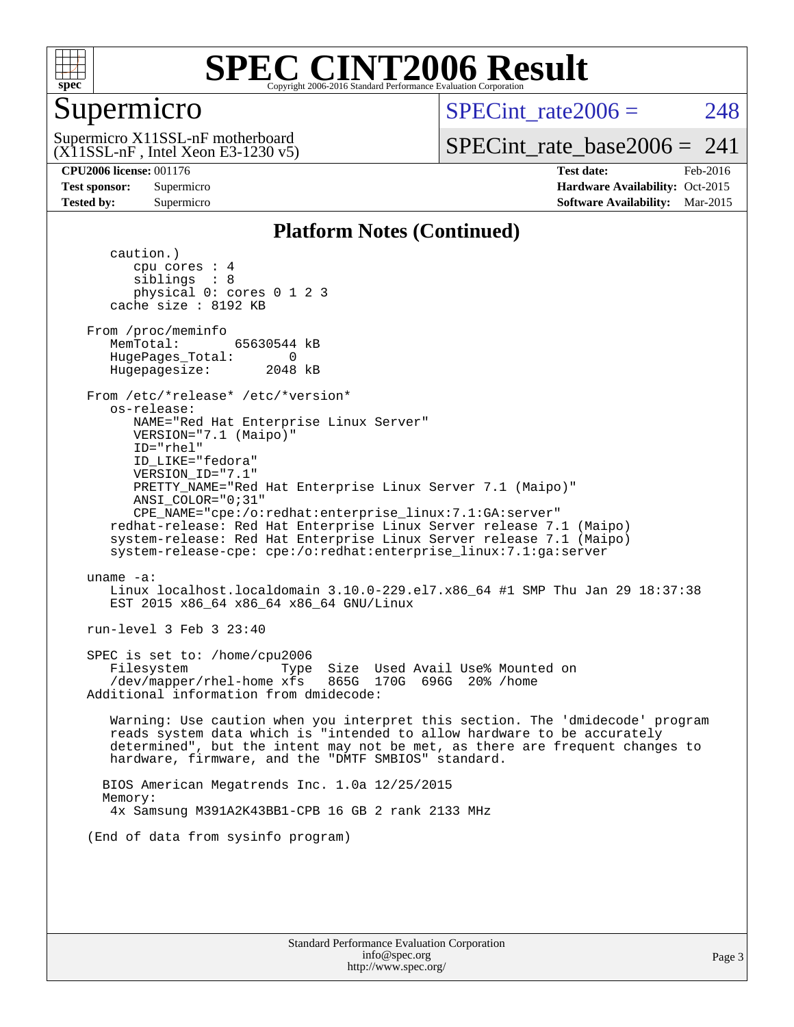

## Supermicro

SPECint rate $2006 = 248$ 

(X11SSL-nF , Intel Xeon E3-1230 v5) Supermicro X11SSL-nF motherboard

[SPECint\\_rate\\_base2006 =](http://www.spec.org/auto/cpu2006/Docs/result-fields.html#SPECintratebase2006)  $241$ 

**[CPU2006 license:](http://www.spec.org/auto/cpu2006/Docs/result-fields.html#CPU2006license)** 001176 **[Test date:](http://www.spec.org/auto/cpu2006/Docs/result-fields.html#Testdate)** Feb-2016 **[Test sponsor:](http://www.spec.org/auto/cpu2006/Docs/result-fields.html#Testsponsor)** Supermicro Supermicro **[Hardware Availability:](http://www.spec.org/auto/cpu2006/Docs/result-fields.html#HardwareAvailability)** Oct-2015 **[Tested by:](http://www.spec.org/auto/cpu2006/Docs/result-fields.html#Testedby)** Supermicro **Supermicro [Software Availability:](http://www.spec.org/auto/cpu2006/Docs/result-fields.html#SoftwareAvailability)** Mar-2015

#### **[Platform Notes \(Continued\)](http://www.spec.org/auto/cpu2006/Docs/result-fields.html#PlatformNotes)**

 caution.) cpu cores : 4 siblings : 8 physical 0: cores 0 1 2 3 cache size : 8192 KB From /proc/meminfo MemTotal: 65630544 kB HugePages\_Total: 0<br>Hugepagesize: 2048 kB Hugepagesize: From /etc/\*release\* /etc/\*version\* os-release: NAME="Red Hat Enterprise Linux Server" VERSION="7.1 (Maipo)" ID="rhel" ID\_LIKE="fedora" VERSION\_ID="7.1" PRETTY\_NAME="Red Hat Enterprise Linux Server 7.1 (Maipo)" ANSI\_COLOR="0;31" CPE\_NAME="cpe:/o:redhat:enterprise\_linux:7.1:GA:server" redhat-release: Red Hat Enterprise Linux Server release 7.1 (Maipo) system-release: Red Hat Enterprise Linux Server release 7.1 (Maipo) system-release-cpe: cpe:/o:redhat:enterprise\_linux:7.1:ga:server uname -a: Linux localhost.localdomain 3.10.0-229.el7.x86\_64 #1 SMP Thu Jan 29 18:37:38 EST 2015 x86\_64 x86\_64 x86\_64 GNU/Linux run-level 3 Feb 3 23:40 SPEC is set to: /home/cpu2006 Filesystem Type Size Used Avail Use% Mounted on  $/$ dev/mapper/rhel-home xfs Additional information from dmidecode: Warning: Use caution when you interpret this section. The 'dmidecode' program reads system data which is "intended to allow hardware to be accurately determined", but the intent may not be met, as there are frequent changes to hardware, firmware, and the "DMTF SMBIOS" standard. BIOS American Megatrends Inc. 1.0a 12/25/2015 Memory: 4x Samsung M391A2K43BB1-CPB 16 GB 2 rank 2133 MHz (End of data from sysinfo program)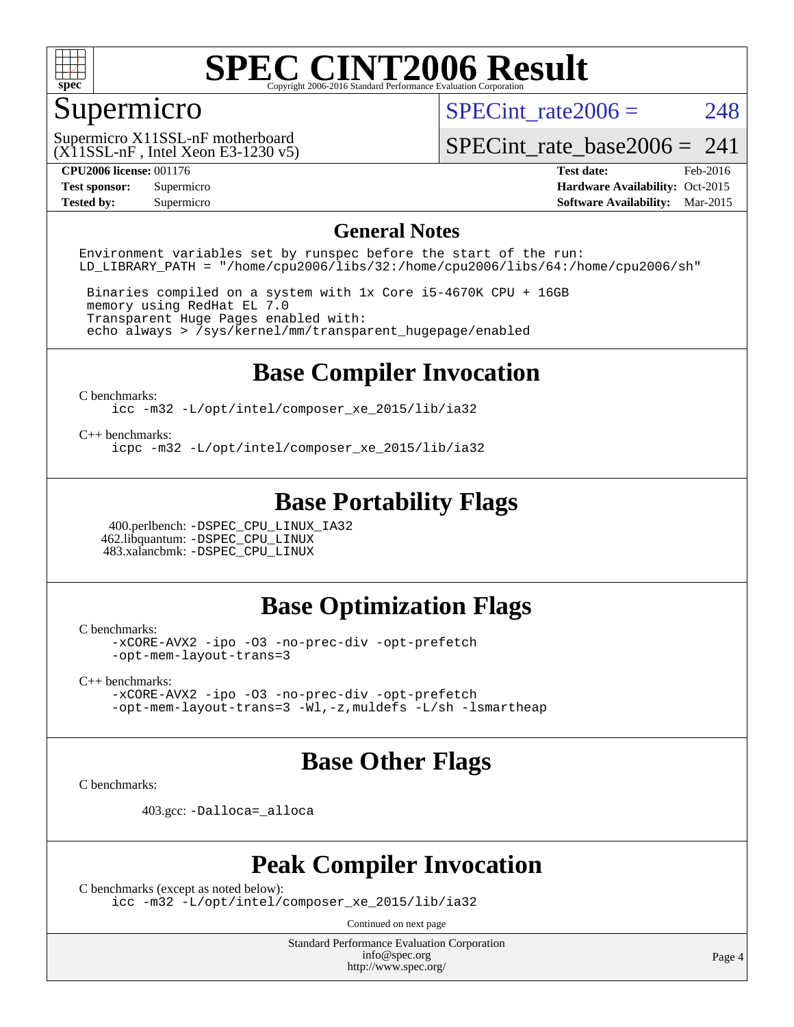

## Supermicro

SPECint rate $2006 = 248$ 

(X11SSL-nF , Intel Xeon E3-1230 v5) Supermicro X11SSL-nF motherboard

SPECint rate base2006 =  $241$ 

**[CPU2006 license:](http://www.spec.org/auto/cpu2006/Docs/result-fields.html#CPU2006license)** 001176 **[Test date:](http://www.spec.org/auto/cpu2006/Docs/result-fields.html#Testdate)** Feb-2016 **[Test sponsor:](http://www.spec.org/auto/cpu2006/Docs/result-fields.html#Testsponsor)** Supermicro Supermicro **[Hardware Availability:](http://www.spec.org/auto/cpu2006/Docs/result-fields.html#HardwareAvailability)** Oct-2015 **[Tested by:](http://www.spec.org/auto/cpu2006/Docs/result-fields.html#Testedby)** Supermicro **Supermicro [Software Availability:](http://www.spec.org/auto/cpu2006/Docs/result-fields.html#SoftwareAvailability)** Mar-2015

#### **[General Notes](http://www.spec.org/auto/cpu2006/Docs/result-fields.html#GeneralNotes)**

Environment variables set by runspec before the start of the run: LD LIBRARY PATH = "/home/cpu2006/libs/32:/home/cpu2006/libs/64:/home/cpu2006/sh"

 Binaries compiled on a system with 1x Core i5-4670K CPU + 16GB memory using RedHat EL 7.0 Transparent Huge Pages enabled with: echo always > /sys/kernel/mm/transparent\_hugepage/enabled

### **[Base Compiler Invocation](http://www.spec.org/auto/cpu2006/Docs/result-fields.html#BaseCompilerInvocation)**

[C benchmarks](http://www.spec.org/auto/cpu2006/Docs/result-fields.html#Cbenchmarks):

[icc -m32 -L/opt/intel/composer\\_xe\\_2015/lib/ia32](http://www.spec.org/cpu2006/results/res2016q1/cpu2006-20160222-39042.flags.html#user_CCbase_intel_icc_011b86df29f8c679b747245588698a4d)

[C++ benchmarks:](http://www.spec.org/auto/cpu2006/Docs/result-fields.html#CXXbenchmarks)

[icpc -m32 -L/opt/intel/composer\\_xe\\_2015/lib/ia32](http://www.spec.org/cpu2006/results/res2016q1/cpu2006-20160222-39042.flags.html#user_CXXbase_intel_icpc_c2c99686a1a582c3e0de0b4806b02cea)

### **[Base Portability Flags](http://www.spec.org/auto/cpu2006/Docs/result-fields.html#BasePortabilityFlags)**

 400.perlbench: [-DSPEC\\_CPU\\_LINUX\\_IA32](http://www.spec.org/cpu2006/results/res2016q1/cpu2006-20160222-39042.flags.html#b400.perlbench_baseCPORTABILITY_DSPEC_CPU_LINUX_IA32) 462.libquantum: [-DSPEC\\_CPU\\_LINUX](http://www.spec.org/cpu2006/results/res2016q1/cpu2006-20160222-39042.flags.html#b462.libquantum_baseCPORTABILITY_DSPEC_CPU_LINUX) 483.xalancbmk: [-DSPEC\\_CPU\\_LINUX](http://www.spec.org/cpu2006/results/res2016q1/cpu2006-20160222-39042.flags.html#b483.xalancbmk_baseCXXPORTABILITY_DSPEC_CPU_LINUX)

#### **[Base Optimization Flags](http://www.spec.org/auto/cpu2006/Docs/result-fields.html#BaseOptimizationFlags)**

[C benchmarks](http://www.spec.org/auto/cpu2006/Docs/result-fields.html#Cbenchmarks):

[-xCORE-AVX2](http://www.spec.org/cpu2006/results/res2016q1/cpu2006-20160222-39042.flags.html#user_CCbase_f-xAVX2_5f5fc0cbe2c9f62c816d3e45806c70d7) [-ipo](http://www.spec.org/cpu2006/results/res2016q1/cpu2006-20160222-39042.flags.html#user_CCbase_f-ipo) [-O3](http://www.spec.org/cpu2006/results/res2016q1/cpu2006-20160222-39042.flags.html#user_CCbase_f-O3) [-no-prec-div](http://www.spec.org/cpu2006/results/res2016q1/cpu2006-20160222-39042.flags.html#user_CCbase_f-no-prec-div) [-opt-prefetch](http://www.spec.org/cpu2006/results/res2016q1/cpu2006-20160222-39042.flags.html#user_CCbase_f-opt-prefetch) [-opt-mem-layout-trans=3](http://www.spec.org/cpu2006/results/res2016q1/cpu2006-20160222-39042.flags.html#user_CCbase_f-opt-mem-layout-trans_a7b82ad4bd7abf52556d4961a2ae94d5)

[C++ benchmarks:](http://www.spec.org/auto/cpu2006/Docs/result-fields.html#CXXbenchmarks)

[-xCORE-AVX2](http://www.spec.org/cpu2006/results/res2016q1/cpu2006-20160222-39042.flags.html#user_CXXbase_f-xAVX2_5f5fc0cbe2c9f62c816d3e45806c70d7) [-ipo](http://www.spec.org/cpu2006/results/res2016q1/cpu2006-20160222-39042.flags.html#user_CXXbase_f-ipo) [-O3](http://www.spec.org/cpu2006/results/res2016q1/cpu2006-20160222-39042.flags.html#user_CXXbase_f-O3) [-no-prec-div](http://www.spec.org/cpu2006/results/res2016q1/cpu2006-20160222-39042.flags.html#user_CXXbase_f-no-prec-div) [-opt-prefetch](http://www.spec.org/cpu2006/results/res2016q1/cpu2006-20160222-39042.flags.html#user_CXXbase_f-opt-prefetch) [-opt-mem-layout-trans=3](http://www.spec.org/cpu2006/results/res2016q1/cpu2006-20160222-39042.flags.html#user_CXXbase_f-opt-mem-layout-trans_a7b82ad4bd7abf52556d4961a2ae94d5) [-Wl,-z,muldefs](http://www.spec.org/cpu2006/results/res2016q1/cpu2006-20160222-39042.flags.html#user_CXXbase_link_force_multiple1_74079c344b956b9658436fd1b6dd3a8a) [-L/sh -lsmartheap](http://www.spec.org/cpu2006/results/res2016q1/cpu2006-20160222-39042.flags.html#user_CXXbase_SmartHeap_32f6c82aa1ed9c52345d30cf6e4a0499)

#### **[Base Other Flags](http://www.spec.org/auto/cpu2006/Docs/result-fields.html#BaseOtherFlags)**

[C benchmarks](http://www.spec.org/auto/cpu2006/Docs/result-fields.html#Cbenchmarks):

403.gcc: [-Dalloca=\\_alloca](http://www.spec.org/cpu2006/results/res2016q1/cpu2006-20160222-39042.flags.html#b403.gcc_baseEXTRA_CFLAGS_Dalloca_be3056838c12de2578596ca5467af7f3)

#### **[Peak Compiler Invocation](http://www.spec.org/auto/cpu2006/Docs/result-fields.html#PeakCompilerInvocation)**

[C benchmarks \(except as noted below\)](http://www.spec.org/auto/cpu2006/Docs/result-fields.html#Cbenchmarksexceptasnotedbelow):

[icc -m32 -L/opt/intel/composer\\_xe\\_2015/lib/ia32](http://www.spec.org/cpu2006/results/res2016q1/cpu2006-20160222-39042.flags.html#user_CCpeak_intel_icc_011b86df29f8c679b747245588698a4d)

Continued on next page

Standard Performance Evaluation Corporation [info@spec.org](mailto:info@spec.org) <http://www.spec.org/>

Page 4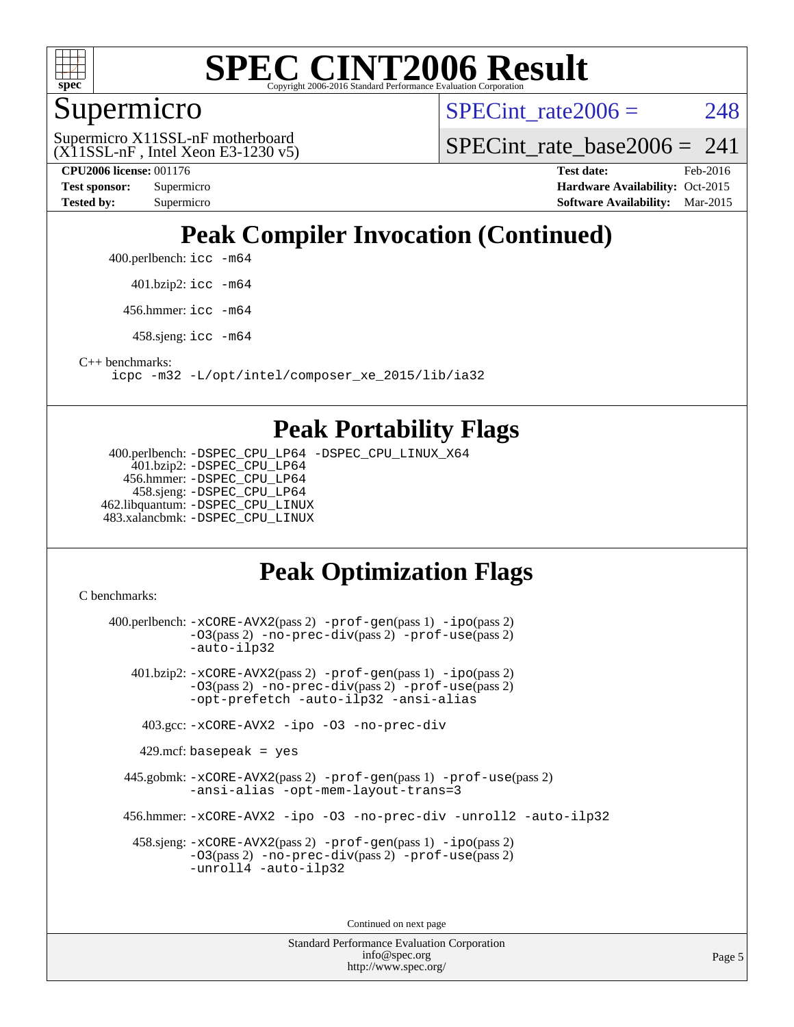

### Supermicro

SPECint rate $2006 = 248$ 

(X11SSL-nF , Intel Xeon E3-1230 v5) Supermicro X11SSL-nF motherboard

SPECint rate base2006 =  $241$ 

**[CPU2006 license:](http://www.spec.org/auto/cpu2006/Docs/result-fields.html#CPU2006license)** 001176 **[Test date:](http://www.spec.org/auto/cpu2006/Docs/result-fields.html#Testdate)** Feb-2016 **[Test sponsor:](http://www.spec.org/auto/cpu2006/Docs/result-fields.html#Testsponsor)** Supermicro Supermicro **[Hardware Availability:](http://www.spec.org/auto/cpu2006/Docs/result-fields.html#HardwareAvailability)** Oct-2015 **[Tested by:](http://www.spec.org/auto/cpu2006/Docs/result-fields.html#Testedby)** Supermicro **Supermicro [Software Availability:](http://www.spec.org/auto/cpu2006/Docs/result-fields.html#SoftwareAvailability)** Mar-2015

## **[Peak Compiler Invocation \(Continued\)](http://www.spec.org/auto/cpu2006/Docs/result-fields.html#PeakCompilerInvocation)**

400.perlbench: [icc -m64](http://www.spec.org/cpu2006/results/res2016q1/cpu2006-20160222-39042.flags.html#user_peakCCLD400_perlbench_intel_icc_64bit_bda6cc9af1fdbb0edc3795bac97ada53)

401.bzip2: [icc -m64](http://www.spec.org/cpu2006/results/res2016q1/cpu2006-20160222-39042.flags.html#user_peakCCLD401_bzip2_intel_icc_64bit_bda6cc9af1fdbb0edc3795bac97ada53)

456.hmmer: [icc -m64](http://www.spec.org/cpu2006/results/res2016q1/cpu2006-20160222-39042.flags.html#user_peakCCLD456_hmmer_intel_icc_64bit_bda6cc9af1fdbb0edc3795bac97ada53)

458.sjeng: [icc -m64](http://www.spec.org/cpu2006/results/res2016q1/cpu2006-20160222-39042.flags.html#user_peakCCLD458_sjeng_intel_icc_64bit_bda6cc9af1fdbb0edc3795bac97ada53)

[C++ benchmarks:](http://www.spec.org/auto/cpu2006/Docs/result-fields.html#CXXbenchmarks)

[icpc -m32 -L/opt/intel/composer\\_xe\\_2015/lib/ia32](http://www.spec.org/cpu2006/results/res2016q1/cpu2006-20160222-39042.flags.html#user_CXXpeak_intel_icpc_c2c99686a1a582c3e0de0b4806b02cea)

#### **[Peak Portability Flags](http://www.spec.org/auto/cpu2006/Docs/result-fields.html#PeakPortabilityFlags)**

 400.perlbench: [-DSPEC\\_CPU\\_LP64](http://www.spec.org/cpu2006/results/res2016q1/cpu2006-20160222-39042.flags.html#b400.perlbench_peakCPORTABILITY_DSPEC_CPU_LP64) [-DSPEC\\_CPU\\_LINUX\\_X64](http://www.spec.org/cpu2006/results/res2016q1/cpu2006-20160222-39042.flags.html#b400.perlbench_peakCPORTABILITY_DSPEC_CPU_LINUX_X64) 401.bzip2: [-DSPEC\\_CPU\\_LP64](http://www.spec.org/cpu2006/results/res2016q1/cpu2006-20160222-39042.flags.html#suite_peakCPORTABILITY401_bzip2_DSPEC_CPU_LP64) 456.hmmer: [-DSPEC\\_CPU\\_LP64](http://www.spec.org/cpu2006/results/res2016q1/cpu2006-20160222-39042.flags.html#suite_peakCPORTABILITY456_hmmer_DSPEC_CPU_LP64) 458.sjeng: [-DSPEC\\_CPU\\_LP64](http://www.spec.org/cpu2006/results/res2016q1/cpu2006-20160222-39042.flags.html#suite_peakCPORTABILITY458_sjeng_DSPEC_CPU_LP64) 462.libquantum: [-DSPEC\\_CPU\\_LINUX](http://www.spec.org/cpu2006/results/res2016q1/cpu2006-20160222-39042.flags.html#b462.libquantum_peakCPORTABILITY_DSPEC_CPU_LINUX) 483.xalancbmk: [-DSPEC\\_CPU\\_LINUX](http://www.spec.org/cpu2006/results/res2016q1/cpu2006-20160222-39042.flags.html#b483.xalancbmk_peakCXXPORTABILITY_DSPEC_CPU_LINUX)

## **[Peak Optimization Flags](http://www.spec.org/auto/cpu2006/Docs/result-fields.html#PeakOptimizationFlags)**

[C benchmarks](http://www.spec.org/auto/cpu2006/Docs/result-fields.html#Cbenchmarks):

 400.perlbench: [-xCORE-AVX2](http://www.spec.org/cpu2006/results/res2016q1/cpu2006-20160222-39042.flags.html#user_peakPASS2_CFLAGSPASS2_LDCFLAGS400_perlbench_f-xAVX2_5f5fc0cbe2c9f62c816d3e45806c70d7)(pass 2) [-prof-gen](http://www.spec.org/cpu2006/results/res2016q1/cpu2006-20160222-39042.flags.html#user_peakPASS1_CFLAGSPASS1_LDCFLAGS400_perlbench_prof_gen_e43856698f6ca7b7e442dfd80e94a8fc)(pass 1) [-ipo](http://www.spec.org/cpu2006/results/res2016q1/cpu2006-20160222-39042.flags.html#user_peakPASS2_CFLAGSPASS2_LDCFLAGS400_perlbench_f-ipo)(pass 2) [-O3](http://www.spec.org/cpu2006/results/res2016q1/cpu2006-20160222-39042.flags.html#user_peakPASS2_CFLAGSPASS2_LDCFLAGS400_perlbench_f-O3)(pass 2) [-no-prec-div](http://www.spec.org/cpu2006/results/res2016q1/cpu2006-20160222-39042.flags.html#user_peakPASS2_CFLAGSPASS2_LDCFLAGS400_perlbench_f-no-prec-div)(pass 2) [-prof-use](http://www.spec.org/cpu2006/results/res2016q1/cpu2006-20160222-39042.flags.html#user_peakPASS2_CFLAGSPASS2_LDCFLAGS400_perlbench_prof_use_bccf7792157ff70d64e32fe3e1250b55)(pass 2) [-auto-ilp32](http://www.spec.org/cpu2006/results/res2016q1/cpu2006-20160222-39042.flags.html#user_peakCOPTIMIZE400_perlbench_f-auto-ilp32) 401.bzip2: [-xCORE-AVX2](http://www.spec.org/cpu2006/results/res2016q1/cpu2006-20160222-39042.flags.html#user_peakPASS2_CFLAGSPASS2_LDCFLAGS401_bzip2_f-xAVX2_5f5fc0cbe2c9f62c816d3e45806c70d7)(pass 2) [-prof-gen](http://www.spec.org/cpu2006/results/res2016q1/cpu2006-20160222-39042.flags.html#user_peakPASS1_CFLAGSPASS1_LDCFLAGS401_bzip2_prof_gen_e43856698f6ca7b7e442dfd80e94a8fc)(pass 1) [-ipo](http://www.spec.org/cpu2006/results/res2016q1/cpu2006-20160222-39042.flags.html#user_peakPASS2_CFLAGSPASS2_LDCFLAGS401_bzip2_f-ipo)(pass 2) [-O3](http://www.spec.org/cpu2006/results/res2016q1/cpu2006-20160222-39042.flags.html#user_peakPASS2_CFLAGSPASS2_LDCFLAGS401_bzip2_f-O3)(pass 2) [-no-prec-div](http://www.spec.org/cpu2006/results/res2016q1/cpu2006-20160222-39042.flags.html#user_peakPASS2_CFLAGSPASS2_LDCFLAGS401_bzip2_f-no-prec-div)(pass 2) [-prof-use](http://www.spec.org/cpu2006/results/res2016q1/cpu2006-20160222-39042.flags.html#user_peakPASS2_CFLAGSPASS2_LDCFLAGS401_bzip2_prof_use_bccf7792157ff70d64e32fe3e1250b55)(pass 2) [-opt-prefetch](http://www.spec.org/cpu2006/results/res2016q1/cpu2006-20160222-39042.flags.html#user_peakCOPTIMIZE401_bzip2_f-opt-prefetch) [-auto-ilp32](http://www.spec.org/cpu2006/results/res2016q1/cpu2006-20160222-39042.flags.html#user_peakCOPTIMIZE401_bzip2_f-auto-ilp32) [-ansi-alias](http://www.spec.org/cpu2006/results/res2016q1/cpu2006-20160222-39042.flags.html#user_peakCOPTIMIZE401_bzip2_f-ansi-alias) 403.gcc: [-xCORE-AVX2](http://www.spec.org/cpu2006/results/res2016q1/cpu2006-20160222-39042.flags.html#user_peakCOPTIMIZE403_gcc_f-xAVX2_5f5fc0cbe2c9f62c816d3e45806c70d7) [-ipo](http://www.spec.org/cpu2006/results/res2016q1/cpu2006-20160222-39042.flags.html#user_peakCOPTIMIZE403_gcc_f-ipo) [-O3](http://www.spec.org/cpu2006/results/res2016q1/cpu2006-20160222-39042.flags.html#user_peakCOPTIMIZE403_gcc_f-O3) [-no-prec-div](http://www.spec.org/cpu2006/results/res2016q1/cpu2006-20160222-39042.flags.html#user_peakCOPTIMIZE403_gcc_f-no-prec-div)  $429$ .mcf: basepeak = yes 445.gobmk: [-xCORE-AVX2](http://www.spec.org/cpu2006/results/res2016q1/cpu2006-20160222-39042.flags.html#user_peakPASS2_CFLAGSPASS2_LDCFLAGS445_gobmk_f-xAVX2_5f5fc0cbe2c9f62c816d3e45806c70d7)(pass 2) [-prof-gen](http://www.spec.org/cpu2006/results/res2016q1/cpu2006-20160222-39042.flags.html#user_peakPASS1_CFLAGSPASS1_LDCFLAGS445_gobmk_prof_gen_e43856698f6ca7b7e442dfd80e94a8fc)(pass 1) [-prof-use](http://www.spec.org/cpu2006/results/res2016q1/cpu2006-20160222-39042.flags.html#user_peakPASS2_CFLAGSPASS2_LDCFLAGS445_gobmk_prof_use_bccf7792157ff70d64e32fe3e1250b55)(pass 2) [-ansi-alias](http://www.spec.org/cpu2006/results/res2016q1/cpu2006-20160222-39042.flags.html#user_peakCOPTIMIZE445_gobmk_f-ansi-alias) [-opt-mem-layout-trans=3](http://www.spec.org/cpu2006/results/res2016q1/cpu2006-20160222-39042.flags.html#user_peakCOPTIMIZE445_gobmk_f-opt-mem-layout-trans_a7b82ad4bd7abf52556d4961a2ae94d5) 456.hmmer: [-xCORE-AVX2](http://www.spec.org/cpu2006/results/res2016q1/cpu2006-20160222-39042.flags.html#user_peakCOPTIMIZE456_hmmer_f-xAVX2_5f5fc0cbe2c9f62c816d3e45806c70d7) [-ipo](http://www.spec.org/cpu2006/results/res2016q1/cpu2006-20160222-39042.flags.html#user_peakCOPTIMIZE456_hmmer_f-ipo) [-O3](http://www.spec.org/cpu2006/results/res2016q1/cpu2006-20160222-39042.flags.html#user_peakCOPTIMIZE456_hmmer_f-O3) [-no-prec-div](http://www.spec.org/cpu2006/results/res2016q1/cpu2006-20160222-39042.flags.html#user_peakCOPTIMIZE456_hmmer_f-no-prec-div) [-unroll2](http://www.spec.org/cpu2006/results/res2016q1/cpu2006-20160222-39042.flags.html#user_peakCOPTIMIZE456_hmmer_f-unroll_784dae83bebfb236979b41d2422d7ec2) [-auto-ilp32](http://www.spec.org/cpu2006/results/res2016q1/cpu2006-20160222-39042.flags.html#user_peakCOPTIMIZE456_hmmer_f-auto-ilp32) 458.sjeng: [-xCORE-AVX2](http://www.spec.org/cpu2006/results/res2016q1/cpu2006-20160222-39042.flags.html#user_peakPASS2_CFLAGSPASS2_LDCFLAGS458_sjeng_f-xAVX2_5f5fc0cbe2c9f62c816d3e45806c70d7)(pass 2) [-prof-gen](http://www.spec.org/cpu2006/results/res2016q1/cpu2006-20160222-39042.flags.html#user_peakPASS1_CFLAGSPASS1_LDCFLAGS458_sjeng_prof_gen_e43856698f6ca7b7e442dfd80e94a8fc)(pass 1) [-ipo](http://www.spec.org/cpu2006/results/res2016q1/cpu2006-20160222-39042.flags.html#user_peakPASS2_CFLAGSPASS2_LDCFLAGS458_sjeng_f-ipo)(pass 2) [-O3](http://www.spec.org/cpu2006/results/res2016q1/cpu2006-20160222-39042.flags.html#user_peakPASS2_CFLAGSPASS2_LDCFLAGS458_sjeng_f-O3)(pass 2) [-no-prec-div](http://www.spec.org/cpu2006/results/res2016q1/cpu2006-20160222-39042.flags.html#user_peakPASS2_CFLAGSPASS2_LDCFLAGS458_sjeng_f-no-prec-div)(pass 2) [-prof-use](http://www.spec.org/cpu2006/results/res2016q1/cpu2006-20160222-39042.flags.html#user_peakPASS2_CFLAGSPASS2_LDCFLAGS458_sjeng_prof_use_bccf7792157ff70d64e32fe3e1250b55)(pass 2) [-unroll4](http://www.spec.org/cpu2006/results/res2016q1/cpu2006-20160222-39042.flags.html#user_peakCOPTIMIZE458_sjeng_f-unroll_4e5e4ed65b7fd20bdcd365bec371b81f) [-auto-ilp32](http://www.spec.org/cpu2006/results/res2016q1/cpu2006-20160222-39042.flags.html#user_peakCOPTIMIZE458_sjeng_f-auto-ilp32)

Continued on next page

Standard Performance Evaluation Corporation [info@spec.org](mailto:info@spec.org) <http://www.spec.org/>